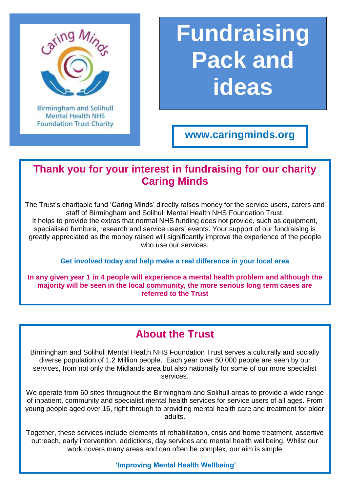

**Birmingham and Solihull Mental Health NHS Foundation Trust Charity** 

# **Fundraising Pack and ideas**

**www.caringminds.org**

## **Thank you for your interest in fundraising for our charity Caring Minds**

The Trust's charitable fund 'Caring Minds' directly raises money for the service users, carers and staff of Birmingham and Solihull Mental Health NHS Foundation Trust. It helps to provide the extras that normal NHS funding does not provide, such as equipment, specialised furniture, research and service users' events. Your support of our fundraising is greatly appreciated as the money raised will significantly improve the experience of the people who use our services.

#### **Get involved today and help make a real difference in your local area**

**In any given year 1 in 4 people will experience a mental health problem and although the majority will be seen in the local community, the more serious long term cases are referred to the Trust**

### **About the Trust**

Birmingham and Solihull Mental Health NHS Foundation Trust serves a culturally and socially diverse population of 1.2 Million people. Each year over 50,000 people are seen by our services, from not only the Midlands area but also nationally for some of our more specialist services.

We operate from 60 sites throughout the Birmingham and Solihull areas to provide a wide range of inpatient, community and specialist mental health services for service users of all ages. From young people aged over 16, right through to providing mental health care and treatment for older adults.

Together, these services include elements of rehabilitation, crisis and home treatment, assertive outreach, early intervention, addictions, day services and mental health wellbeing. Whilst our work covers many areas and can often be complex, our aim is simple

**'Improving Mental Health Wellbeing'**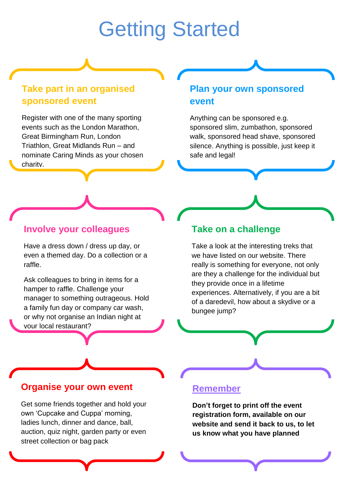## Getting Started

#### **Take part in an organised sponsored event**

Register with one of the many sporting events such as the London Marathon, Great Birmingham Run, London Triathlon, Great Midlands Run – and nominate Caring Minds as your chosen charity.

#### **Plan your own sponsored event**

Anything can be sponsored e.g. sponsored slim, zumbathon, sponsored walk, sponsored head shave, sponsored silence. Anything is possible, just keep it safe and legal!

#### **Involve your colleagues**

Have a dress down / dress up day, or even a themed day. Do a collection or a raffle.

Ask colleagues to bring in items for a hamper to raffle. Challenge your manager to something outrageous. Hold a family fun day or company car wash, or why not organise an Indian night at your local restaurant?

#### **Take on a challenge**

Take a look at the interesting treks that we have listed on our website. There really is something for everyone, not only are they a challenge for the individual but they provide once in a lifetime experiences. Alternatively, if you are a bit of a daredevil, how about a skydive or a bungee jump?

#### **Organise your own event**

Get some friends together and hold your own 'Cupcake and Cuppa' morning, ladies lunch, dinner and dance, ball, auction, quiz night, garden party or even street collection or bag pack

#### **Remember**

**Don't forget to print off the event registration form, available on our website and send it back to us, to let us know what you have planned**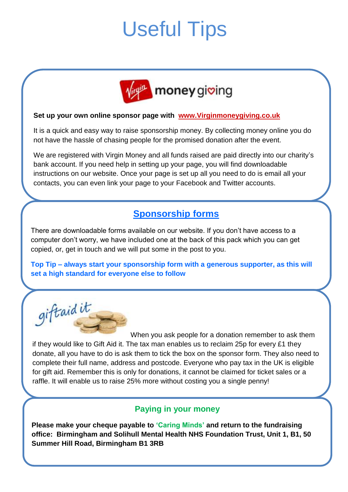## Useful Tips



#### **Set up your own online sponsor page with [www.Virginmoneygiving.co.uk](http://www.virginmoneygiving.co.uk/)**

It is a quick and easy way to raise sponsorship money. By collecting money online you do not have the hassle of chasing people for the promised donation after the event.

We are registered with Virgin Money and all funds raised are paid directly into our charity's bank account. If you need help in setting up your page, you will find downloadable instructions on our website. Once your page is set up all you need to do is email all your contacts, you can even link your page to your Facebook and Twitter accounts.

#### **Sponsorship forms**

There are downloadable forms available on our website. If you don't have access to a computer don't worry, we have included one at the back of this pack which you can get copied, or, get in touch and we will put some in the post to you.

**Top Tip – always start your sponsorship form with a generous supporter, as this will set a high standard for everyone else to follow**

giftaidit

When you ask people for a donation remember to ask them if they would like to Gift Aid it. The tax man enables us to reclaim 25p for every £1 they donate, all you have to do is ask them to tick the box on the sponsor form. They also need to complete their full name, address and postcode. Everyone who pay tax in the UK is eligible for gift aid. Remember this is only for donations, it cannot be claimed for ticket sales or a raffle. It will enable us to raise 25% more without costing you a single penny!

#### **Paying in your money**

**Please make your cheque payable to 'Caring Minds' and return to the fundraising office: Birmingham and Solihull Mental Health NHS Foundation Trust, Unit 1, B1, 50 Summer Hill Road, Birmingham B1 3RB**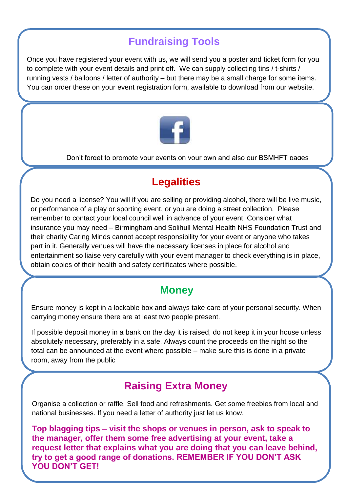## **Fundraising Tools**

Once you have registered your event with us, we will send you a poster and ticket form for you to complete with your event details and print off. We can supply collecting tins / t-shirts / running vests / balloons / letter of authority – but there may be a small charge for some items. You can order these on your event registration form, available to download from our website.



Don't forget to promote your events on your own and also our BSMHFT pages

## **Legalities**

Do you need a license? You will if you are selling or providing alcohol, there will be live music, or performance of a play or sporting event, or you are doing a street collection. Please remember to contact your local council well in advance of your event. Consider what insurance you may need – Birmingham and Solihull Mental Health NHS Foundation Trust and their charity Caring Minds cannot accept responsibility for your event or anyone who takes part in it. Generally venues will have the necessary licenses in place for alcohol and entertainment so liaise very carefully with your event manager to check everything is in place, obtain copies of their health and safety certificates where possible.

### **Money**

Ensure money is kept in a lockable box and always take care of your personal security. When carrying money ensure there are at least two people present.

If possible deposit money in a bank on the day it is raised, do not keep it in your house unless absolutely necessary, preferably in a safe. Always count the proceeds on the night so the total can be announced at the event where possible – make sure this is done in a private room, away from the public

## **Raising Extra Money**

Organise a collection or raffle. Sell food and refreshments. Get some freebies from local and national businesses. If you need a letter of authority just let us know.

**Top blagging tips – visit the shops or venues in person, ask to speak to the manager, offer them some free advertising at your event, take a request letter that explains what you are doing that you can leave behind, try to get a good range of donations. REMEMBER IF YOU DON'T ASK YOU DON'T GET!**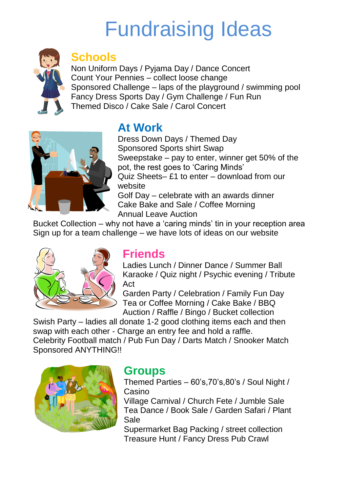## Fundraising Ideas



## **Schools**

Non Uniform Days / Pyjama Day / Dance Concert Count Your Pennies – collect loose change Sponsored Challenge – laps of the playground / swimming pool Fancy Dress Sports Day / Gym Challenge / Fun Run Themed Disco / Cake Sale / Carol Concert



## **At Work**

Dress Down Days / Themed Day Sponsored Sports shirt Swap Sweepstake – pay to enter, winner get 50% of the pot, the rest goes to 'Caring Minds' Quiz Sheets– £1 to enter – download from our website Golf Day – celebrate with an awards dinner Cake Bake and Sale / Coffee Morning Annual Leave Auction

Bucket Collection – why not have a 'caring minds' tin in your reception area Sign up for a team challenge – we have lots of ideas on our website



## **Friends**

Ladies Lunch / Dinner Dance / Summer Ball Karaoke / Quiz night / Psychic evening / Tribute Act

Garden Party / Celebration / Family Fun Day Tea or Coffee Morning / Cake Bake / BBQ Auction / Raffle / Bingo / Bucket collection

Swish Party – ladies all donate 1-2 good clothing items each and then swap with each other - Charge an entry fee and hold a raffle. Celebrity Football match / Pub Fun Day / Darts Match / Snooker Match Sponsored ANYTHING!!



## **Groups**

Themed Parties – 60's,70's,80's / Soul Night / Casino

Village Carnival / Church Fete / Jumble Sale Tea Dance / Book Sale / Garden Safari / Plant Sale

Supermarket Bag Packing / street collection Treasure Hunt / Fancy Dress Pub Crawl